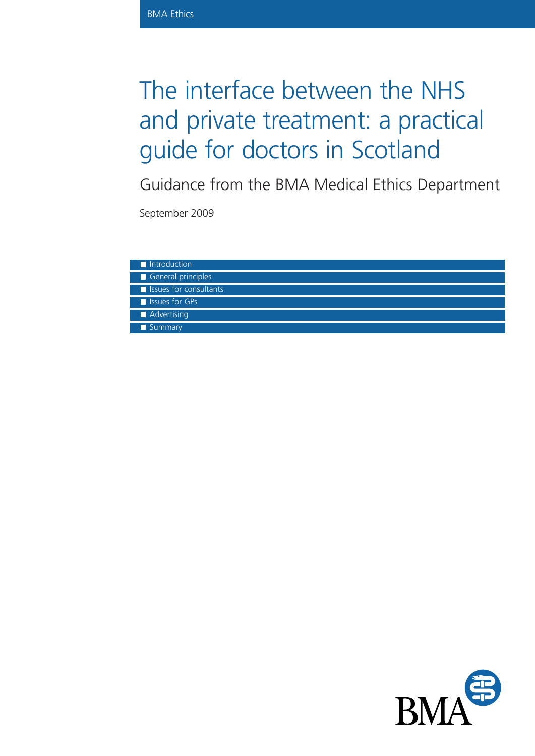# The interface between the NHS and private treatment: a practical guide for doctors in Scotland

Guidance from the BMA Medical Ethics Department

September 2009

| Introduction                |
|-----------------------------|
| General principles          |
| I Issues for consultants    |
| <b>No. 1</b> Issues for GPs |
| Advertising                 |
| Summary                     |

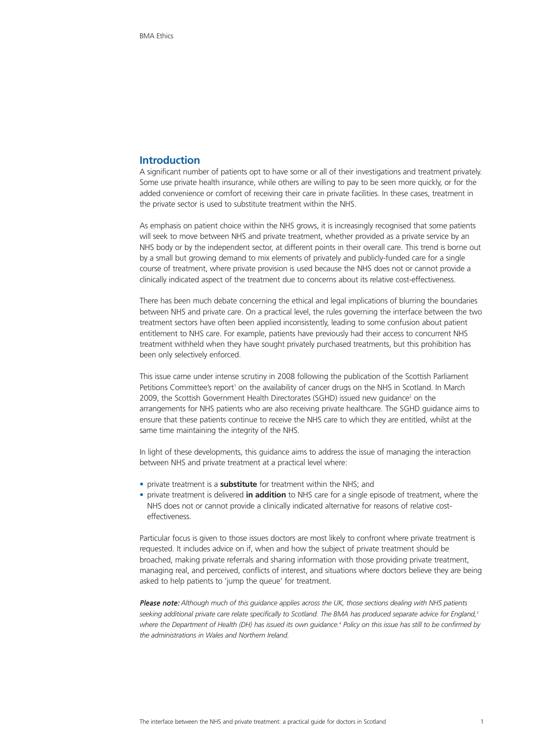# **Introduction**

A significant number of patients opt to have some or all of their investigations and treatment privately. Some use private health insurance, while others are willing to pay to be seen more quickly, or for the added convenience or comfort of receiving their care in private facilities. In these cases, treatment in the private sector is used to substitute treatment within the NHS.

As emphasis on patient choice within the NHS grows, it is increasingly recognised that some patients will seek to move between NHS and private treatment, whether provided as a private service by an NHS body or by the independent sector, at different points in their overall care. This trend is borne out by a small but growing demand to mix elements of privately and publicly-funded care for a single course of treatment, where private provision is used because the NHS does not or cannot provide a clinically indicated aspect of the treatment due to concerns about its relative cost-effectiveness.

There has been much debate concerning the ethical and legal implications of blurring the boundaries between NHS and private care. On a practical level, the rules governing the interface between the two treatment sectors have often been applied inconsistently, leading to some confusion about patient entitlement to NHS care. For example, patients have previously had their access to concurrent NHS treatment withheld when they have sought privately purchased treatments, but this prohibition has been only selectively enforced.

This issue came under intense scrutiny in 2008 following the publication of the Scottish Parliament Petitions Committee's report<sup>1</sup> on the availability of cancer drugs on the NHS in Scotland. In March 2009, the Scottish Government Health Directorates (SGHD) issued new guidance<sup>2</sup> on the arrangements for NHS patients who are also receiving private healthcare. The SGHD guidance aims to ensure that these patients continue to receive the NHS care to which they are entitled, whilst at the same time maintaining the integrity of the NHS.

In light of these developments, this guidance aims to address the issue of managing the interaction between NHS and private treatment at a practical level where:

- private treatment is a **substitute** for treatment within the NHS; and
- private treatment is delivered **in addition** to NHS care for a single episode of treatment, where the NHS does not or cannot provide a clinically indicated alternative for reasons of relative costeffectiveness.

Particular focus is given to those issues doctors are most likely to confront where private treatment is requested. It includes advice on if, when and how the subject of private treatment should be broached, making private referrals and sharing information with those providing private treatment, managing real, and perceived, conflicts of interest, and situations where doctors believe they are being asked to help patients to 'jump the queue' for treatment.

Please note: *Although much of this guidance applies across the UK, those sections dealing with NHS patients seeking additional private care relate specifically to Scotland. The BMA has produced separate advice for England,3 where the Department of Health (DH) has issued its own guidance.4 Policy on this issue has still to be confirmed by the administrations in Wales and Northern Ireland.*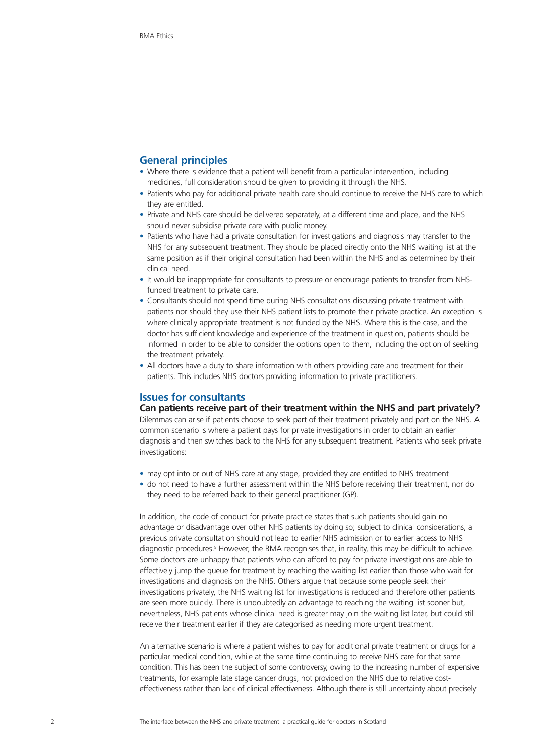# **General principles**

- Where there is evidence that a patient will benefit from a particular intervention, including medicines, full consideration should be given to providing it through the NHS.
- Patients who pay for additional private health care should continue to receive the NHS care to which they are entitled.
- Private and NHS care should be delivered separately, at a different time and place, and the NHS should never subsidise private care with public money.
- Patients who have had a private consultation for investigations and diagnosis may transfer to the NHS for any subsequent treatment. They should be placed directly onto the NHS waiting list at the same position as if their original consultation had been within the NHS and as determined by their clinical need.
- It would be inappropriate for consultants to pressure or encourage patients to transfer from NHSfunded treatment to private care.
- Consultants should not spend time during NHS consultations discussing private treatment with patients nor should they use their NHS patient lists to promote their private practice. An exception is where clinically appropriate treatment is not funded by the NHS. Where this is the case, and the doctor has sufficient knowledge and experience of the treatment in question, patients should be informed in order to be able to consider the options open to them, including the option of seeking the treatment privately.
- All doctors have a duty to share information with others providing care and treatment for their patients. This includes NHS doctors providing information to private practitioners.

# **Issues for consultants**

#### **Can patients receive part of their treatment within the NHS and part privately?**

Dilemmas can arise if patients choose to seek part of their treatment privately and part on the NHS. A common scenario is where a patient pays for private investigations in order to obtain an earlier diagnosis and then switches back to the NHS for any subsequent treatment. Patients who seek private investigations:

- may opt into or out of NHS care at any stage, provided they are entitled to NHS treatment
- do not need to have a further assessment within the NHS before receiving their treatment, nor do they need to be referred back to their general practitioner (GP).

In addition, the code of conduct for private practice states that such patients should gain no advantage or disadvantage over other NHS patients by doing so; subject to clinical considerations, a previous private consultation should not lead to earlier NHS admission or to earlier access to NHS diagnostic procedures.<sup>5</sup> However, the BMA recognises that, in reality, this may be difficult to achieve. Some doctors are unhappy that patients who can afford to pay for private investigations are able to effectively jump the queue for treatment by reaching the waiting list earlier than those who wait for investigations and diagnosis on the NHS. Others argue that because some people seek their investigations privately, the NHS waiting list for investigations is reduced and therefore other patients are seen more quickly. There is undoubtedly an advantage to reaching the waiting list sooner but, nevertheless, NHS patients whose clinical need is greater may join the waiting list later, but could still receive their treatment earlier if they are categorised as needing more urgent treatment.

An alternative scenario is where a patient wishes to pay for additional private treatment or drugs for a particular medical condition, while at the same time continuing to receive NHS care for that same condition. This has been the subject of some controversy, owing to the increasing number of expensive treatments, for example late stage cancer drugs, not provided on the NHS due to relative costeffectiveness rather than lack of clinical effectiveness. Although there is still uncertainty about precisely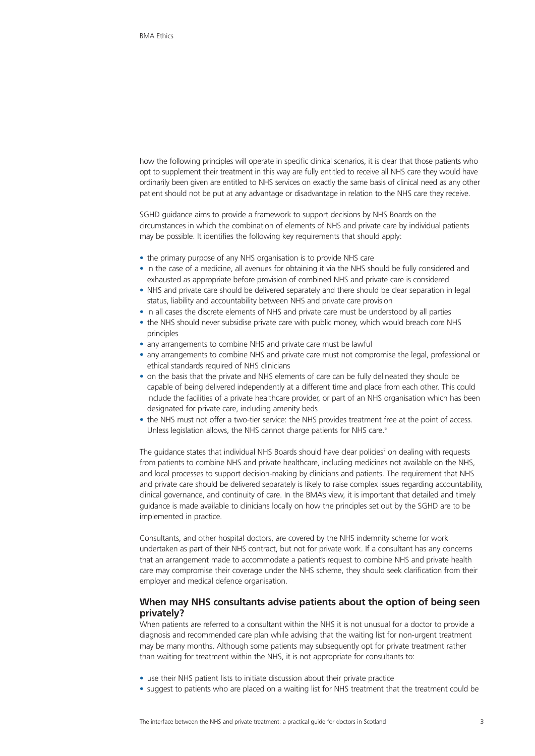how the following principles will operate in specific clinical scenarios, it is clear that those patients who opt to supplement their treatment in this way are fully entitled to receive all NHS care they would have ordinarily been given are entitled to NHS services on exactly the same basis of clinical need as any other patient should not be put at any advantage or disadvantage in relation to the NHS care they receive.

SGHD guidance aims to provide a framework to support decisions by NHS Boards on the circumstances in which the combination of elements of NHS and private care by individual patients may be possible. It identifies the following key requirements that should apply:

- the primary purpose of any NHS organisation is to provide NHS care
- in the case of a medicine, all avenues for obtaining it via the NHS should be fully considered and exhausted as appropriate before provision of combined NHS and private care is considered
- NHS and private care should be delivered separately and there should be clear separation in legal status, liability and accountability between NHS and private care provision
- in all cases the discrete elements of NHS and private care must be understood by all parties
- the NHS should never subsidise private care with public money, which would breach core NHS principles
- any arrangements to combine NHS and private care must be lawful
- any arrangements to combine NHS and private care must not compromise the legal, professional or ethical standards required of NHS clinicians
- on the basis that the private and NHS elements of care can be fully delineated they should be capable of being delivered independently at a different time and place from each other. This could include the facilities of a private healthcare provider, or part of an NHS organisation which has been designated for private care, including amenity beds
- the NHS must not offer a two-tier service: the NHS provides treatment free at the point of access. Unless legislation allows, the NHS cannot charge patients for NHS care.<sup>6</sup>

The guidance states that individual NHS Boards should have clear policies<sup>7</sup> on dealing with requests from patients to combine NHS and private healthcare, including medicines not available on the NHS, and local processes to support decision-making by clinicians and patients. The requirement that NHS and private care should be delivered separately is likely to raise complex issues regarding accountability, clinical governance, and continuity of care. In the BMA's view, it is important that detailed and timely guidance is made available to clinicians locally on how the principles set out by the SGHD are to be implemented in practice.

Consultants, and other hospital doctors, are covered by the NHS indemnity scheme for work undertaken as part of their NHS contract, but not for private work. If a consultant has any concerns that an arrangement made to accommodate a patient's request to combine NHS and private health care may compromise their coverage under the NHS scheme, they should seek clarification from their employer and medical defence organisation.

# **When may NHS consultants advise patients about the option of being seen privately?**

When patients are referred to a consultant within the NHS it is not unusual for a doctor to provide a diagnosis and recommended care plan while advising that the waiting list for non-urgent treatment may be many months. Although some patients may subsequently opt for private treatment rather than waiting for treatment within the NHS, it is not appropriate for consultants to:

- use their NHS patient lists to initiate discussion about their private practice
- suggest to patients who are placed on a waiting list for NHS treatment that the treatment could be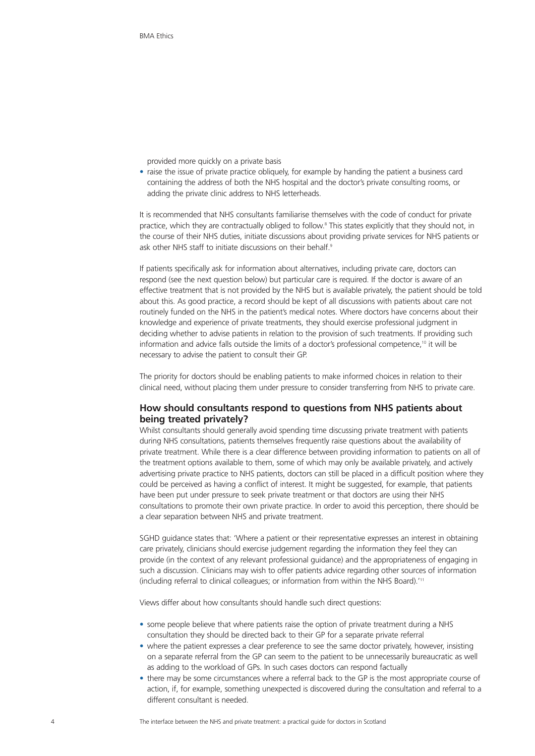provided more quickly on a private basis

• raise the issue of private practice obliquely, for example by handing the patient a business card containing the address of both the NHS hospital and the doctor's private consulting rooms, or adding the private clinic address to NHS letterheads.

It is recommended that NHS consultants familiarise themselves with the code of conduct for private practice, which they are contractually obliged to follow.8 This states explicitly that they should not, in the course of their NHS duties, initiate discussions about providing private services for NHS patients or ask other NHS staff to initiate discussions on their behalf.<sup>9</sup>

If patients specifically ask for information about alternatives, including private care, doctors can respond (see the next question below) but particular care is required. If the doctor is aware of an effective treatment that is not provided by the NHS but is available privately, the patient should be told about this. As good practice, a record should be kept of all discussions with patients about care not routinely funded on the NHS in the patient's medical notes. Where doctors have concerns about their knowledge and experience of private treatments, they should exercise professional judgment in deciding whether to advise patients in relation to the provision of such treatments. If providing such information and advice falls outside the limits of a doctor's professional competence,<sup>10</sup> it will be necessary to advise the patient to consult their GP.

The priority for doctors should be enabling patients to make informed choices in relation to their clinical need, without placing them under pressure to consider transferring from NHS to private care.

# **How should consultants respond to questions from NHS patients about being treated privately?**

Whilst consultants should generally avoid spending time discussing private treatment with patients during NHS consultations, patients themselves frequently raise questions about the availability of private treatment. While there is a clear difference between providing information to patients on all of the treatment options available to them, some of which may only be available privately, and actively advertising private practice to NHS patients, doctors can still be placed in a difficult position where they could be perceived as having a conflict of interest. It might be suggested, for example, that patients have been put under pressure to seek private treatment or that doctors are using their NHS consultations to promote their own private practice. In order to avoid this perception, there should be a clear separation between NHS and private treatment.

SGHD guidance states that: 'Where a patient or their representative expresses an interest in obtaining care privately, clinicians should exercise judgement regarding the information they feel they can provide (in the context of any relevant professional guidance) and the appropriateness of engaging in such a discussion. Clinicians may wish to offer patients advice regarding other sources of information (including referral to clinical colleagues; or information from within the NHS Board).'11

Views differ about how consultants should handle such direct questions:

- some people believe that where patients raise the option of private treatment during a NHS consultation they should be directed back to their GP for a separate private referral
- where the patient expresses a clear preference to see the same doctor privately, however, insisting on a separate referral from the GP can seem to the patient to be unnecessarily bureaucratic as well as adding to the workload of GPs. In such cases doctors can respond factually
- there may be some circumstances where a referral back to the GP is the most appropriate course of action, if, for example, something unexpected is discovered during the consultation and referral to a different consultant is needed.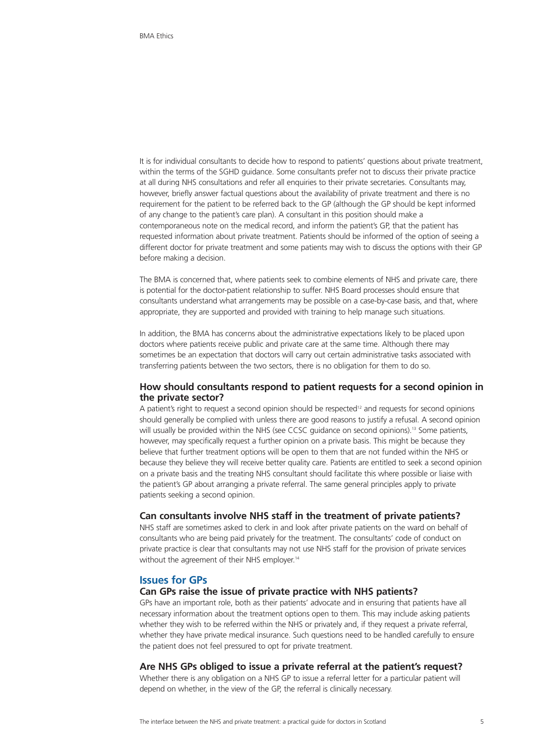It is for individual consultants to decide how to respond to patients' questions about private treatment, within the terms of the SGHD guidance. Some consultants prefer not to discuss their private practice at all during NHS consultations and refer all enquiries to their private secretaries. Consultants may, however, briefly answer factual questions about the availability of private treatment and there is no requirement for the patient to be referred back to the GP (although the GP should be kept informed of any change to the patient's care plan). A consultant in this position should make a contemporaneous note on the medical record, and inform the patient's GP, that the patient has requested information about private treatment. Patients should be informed of the option of seeing a different doctor for private treatment and some patients may wish to discuss the options with their GP before making a decision.

The BMA is concerned that, where patients seek to combine elements of NHS and private care, there is potential for the doctor-patient relationship to suffer. NHS Board processes should ensure that consultants understand what arrangements may be possible on a case-by-case basis, and that, where appropriate, they are supported and provided with training to help manage such situations.

In addition, the BMA has concerns about the administrative expectations likely to be placed upon doctors where patients receive public and private care at the same time. Although there may sometimes be an expectation that doctors will carry out certain administrative tasks associated with transferring patients between the two sectors, there is no obligation for them to do so.

# **How should consultants respond to patient requests for a second opinion in the private sector?**

A patient's right to request a second opinion should be respected<sup>12</sup> and requests for second opinions should generally be complied with unless there are good reasons to justify a refusal. A second opinion will usually be provided within the NHS (see CCSC guidance on second opinions).<sup>13</sup> Some patients, however, may specifically request a further opinion on a private basis. This might be because they believe that further treatment options will be open to them that are not funded within the NHS or because they believe they will receive better quality care. Patients are entitled to seek a second opinion on a private basis and the treating NHS consultant should facilitate this where possible or liaise with the patient's GP about arranging a private referral. The same general principles apply to private patients seeking a second opinion.

#### **Can consultants involve NHS staff in the treatment of private patients?**

NHS staff are sometimes asked to clerk in and look after private patients on the ward on behalf of consultants who are being paid privately for the treatment. The consultants' code of conduct on private practice is clear that consultants may not use NHS staff for the provision of private services without the agreement of their NHS employer.<sup>14</sup>

## **Issues for GPs**

#### **Can GPs raise the issue of private practice with NHS patients?**

GPs have an important role, both as their patients' advocate and in ensuring that patients have all necessary information about the treatment options open to them. This may include asking patients whether they wish to be referred within the NHS or privately and, if they request a private referral, whether they have private medical insurance. Such questions need to be handled carefully to ensure the patient does not feel pressured to opt for private treatment.

#### **Are NHS GPs obliged to issue a private referral at the patient's request?**

Whether there is any obligation on a NHS GP to issue a referral letter for a particular patient will depend on whether, in the view of the GP, the referral is clinically necessary.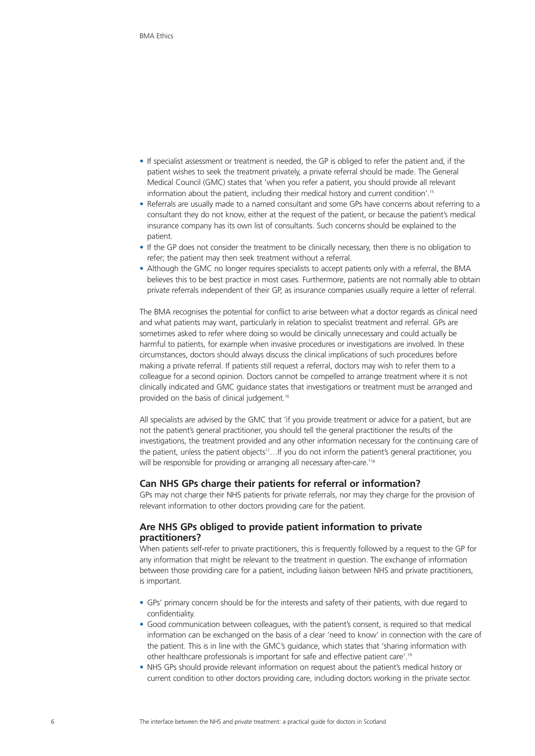- If specialist assessment or treatment is needed, the GP is obliged to refer the patient and, if the patient wishes to seek the treatment privately, a private referral should be made. The General Medical Council (GMC) states that 'when you refer a patient, you should provide all relevant information about the patient, including their medical history and current condition'.15
- Referrals are usually made to a named consultant and some GPs have concerns about referring to a consultant they do not know, either at the request of the patient, or because the patient's medical insurance company has its own list of consultants. Such concerns should be explained to the patient.
- If the GP does not consider the treatment to be clinically necessary, then there is no obligation to refer; the patient may then seek treatment without a referral.
- Although the GMC no longer requires specialists to accept patients only with a referral, the BMA believes this to be best practice in most cases. Furthermore, patients are not normally able to obtain private referrals independent of their GP, as insurance companies usually require a letter of referral.

The BMA recognises the potential for conflict to arise between what a doctor regards as clinical need and what patients may want, particularly in relation to specialist treatment and referral. GPs are sometimes asked to refer where doing so would be clinically unnecessary and could actually be harmful to patients, for example when invasive procedures or investigations are involved. In these circumstances, doctors should always discuss the clinical implications of such procedures before making a private referral. If patients still request a referral, doctors may wish to refer them to a colleague for a second opinion. Doctors cannot be compelled to arrange treatment where it is not clinically indicated and GMC guidance states that investigations or treatment must be arranged and provided on the basis of clinical judgement.<sup>16</sup>

All specialists are advised by the GMC that 'if you provide treatment or advice for a patient, but are not the patient's general practitioner, you should tell the general practitioner the results of the investigations, the treatment provided and any other information necessary for the continuing care of the patient, unless the patient objects<sup>17</sup>...If you do not inform the patient's general practitioner, you will be responsible for providing or arranging all necessary after-care.<sup>118</sup>

## **Can NHS GPs charge their patients for referral or information?**

GPs may not charge their NHS patients for private referrals, nor may they charge for the provision of relevant information to other doctors providing care for the patient.

# **Are NHS GPs obliged to provide patient information to private practitioners?**

When patients self-refer to private practitioners, this is frequently followed by a request to the GP for any information that might be relevant to the treatment in question. The exchange of information between those providing care for a patient, including liaison between NHS and private practitioners, is important.

- GPs' primary concern should be for the interests and safety of their patients, with due regard to confidentiality.
- Good communication between colleagues, with the patient's consent, is required so that medical information can be exchanged on the basis of a clear 'need to know' in connection with the care of the patient. This is in line with the GMC's guidance, which states that 'sharing information with other healthcare professionals is important for safe and effective patient care'.19
- NHS GPs should provide relevant information on request about the patient's medical history or current condition to other doctors providing care, including doctors working in the private sector.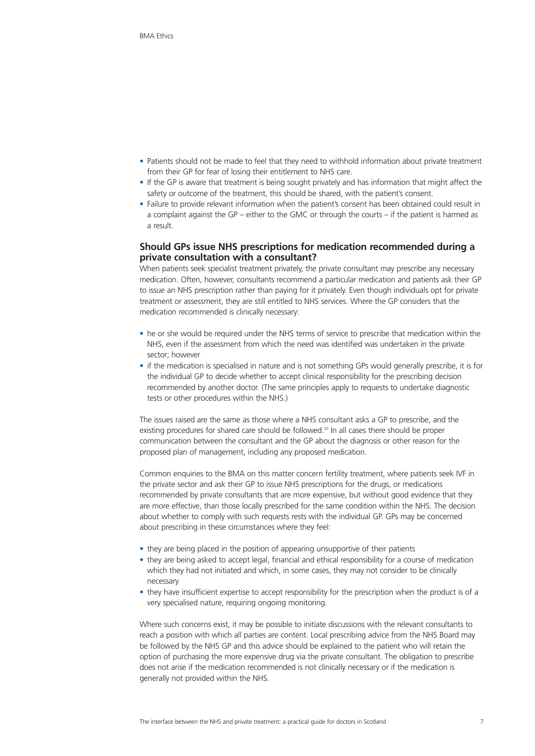- Patients should not be made to feel that they need to withhold information about private treatment from their GP for fear of losing their entitlement to NHS care.
- If the GP is aware that treatment is being sought privately and has information that might affect the safety or outcome of the treatment, this should be shared, with the patient's consent.
- Failure to provide relevant information when the patient's consent has been obtained could result in a complaint against the GP – either to the GMC or through the courts – if the patient is harmed as a result.

# **Should GPs issue NHS prescriptions for medication recommended during a private consultation with a consultant?**

When patients seek specialist treatment privately, the private consultant may prescribe any necessary medication. Often, however, consultants recommend a particular medication and patients ask their GP to issue an NHS prescription rather than paying for it privately. Even though individuals opt for private treatment or assessment, they are still entitled to NHS services. Where the GP considers that the medication recommended is clinically necessary:

- he or she would be required under the NHS terms of service to prescribe that medication within the NHS, even if the assessment from which the need was identified was undertaken in the private sector; however
- if the medication is specialised in nature and is not something GPs would generally prescribe, it is for the individual GP to decide whether to accept clinical responsibility for the prescribing decision recommended by another doctor. (The same principles apply to requests to undertake diagnostic tests or other procedures within the NHS.)

The issues raised are the same as those where a NHS consultant asks a GP to prescribe, and the existing procedures for shared care should be followed.<sup>20</sup> In all cases there should be proper communication between the consultant and the GP about the diagnosis or other reason for the proposed plan of management, including any proposed medication.

Common enquiries to the BMA on this matter concern fertility treatment, where patients seek IVF in the private sector and ask their GP to issue NHS prescriptions for the drugs, or medications recommended by private consultants that are more expensive, but without good evidence that they are more effective, than those locally prescribed for the same condition within the NHS. The decision about whether to comply with such requests rests with the individual GP. GPs may be concerned about prescribing in these circumstances where they feel:

- they are being placed in the position of appearing unsupportive of their patients
- they are being asked to accept legal, financial and ethical responsibility for a course of medication which they had not initiated and which, in some cases, they may not consider to be clinically necessary
- they have insufficient expertise to accept responsibility for the prescription when the product is of a very specialised nature, requiring ongoing monitoring.

Where such concerns exist, it may be possible to initiate discussions with the relevant consultants to reach a position with which all parties are content. Local prescribing advice from the NHS Board may be followed by the NHS GP and this advice should be explained to the patient who will retain the option of purchasing the more expensive drug via the private consultant. The obligation to prescribe does not arise if the medication recommended is not clinically necessary or if the medication is generally not provided within the NHS.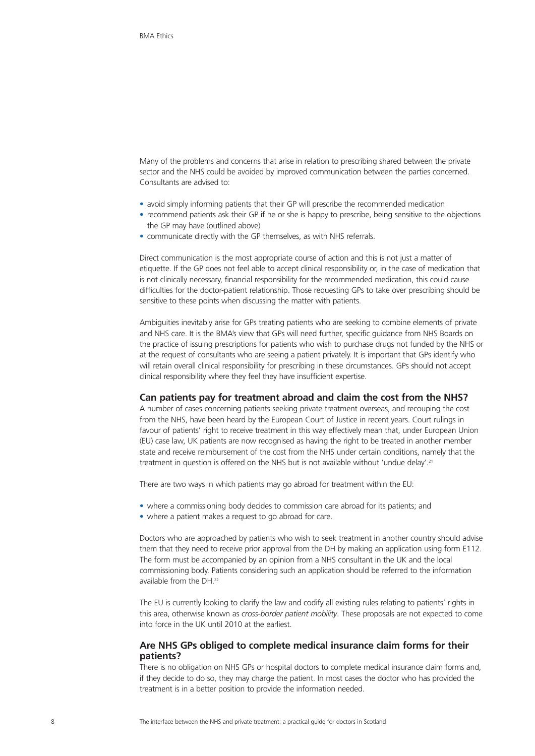Many of the problems and concerns that arise in relation to prescribing shared between the private sector and the NHS could be avoided by improved communication between the parties concerned. Consultants are advised to:

- avoid simply informing patients that their GP will prescribe the recommended medication
- recommend patients ask their GP if he or she is happy to prescribe, being sensitive to the objections the GP may have (outlined above)
- communicate directly with the GP themselves, as with NHS referrals.

Direct communication is the most appropriate course of action and this is not just a matter of etiquette. If the GP does not feel able to accept clinical responsibility or, in the case of medication that is not clinically necessary, financial responsibility for the recommended medication, this could cause difficulties for the doctor-patient relationship. Those requesting GPs to take over prescribing should be sensitive to these points when discussing the matter with patients.

Ambiguities inevitably arise for GPs treating patients who are seeking to combine elements of private and NHS care. It is the BMA's view that GPs will need further, specific guidance from NHS Boards on the practice of issuing prescriptions for patients who wish to purchase drugs not funded by the NHS or at the request of consultants who are seeing a patient privately. It is important that GPs identify who will retain overall clinical responsibility for prescribing in these circumstances. GPs should not accept clinical responsibility where they feel they have insufficient expertise.

#### **Can patients pay for treatment abroad and claim the cost from the NHS?**

A number of cases concerning patients seeking private treatment overseas, and recouping the cost from the NHS, have been heard by the European Court of Justice in recent years. Court rulings in favour of patients' right to receive treatment in this way effectively mean that, under European Union (EU) case law, UK patients are now recognised as having the right to be treated in another member state and receive reimbursement of the cost from the NHS under certain conditions, namely that the treatment in question is offered on the NHS but is not available without 'undue delay'.21

There are two ways in which patients may go abroad for treatment within the EU:

- where a commissioning body decides to commission care abroad for its patients; and
- where a patient makes a request to go abroad for care.

Doctors who are approached by patients who wish to seek treatment in another country should advise them that they need to receive prior approval from the DH by making an application using form E112. The form must be accompanied by an opinion from a NHS consultant in the UK and the local commissioning body. Patients considering such an application should be referred to the information available from the DH.<sup>22</sup>

The EU is currently looking to clarify the law and codify all existing rules relating to patients' rights in this area, otherwise known as *cross-border patient mobility*. These proposals are not expected to come into force in the UK until 2010 at the earliest.

## **Are NHS GPs obliged to complete medical insurance claim forms for their patients?**

There is no obligation on NHS GPs or hospital doctors to complete medical insurance claim forms and, if they decide to do so, they may charge the patient. In most cases the doctor who has provided the treatment is in a better position to provide the information needed.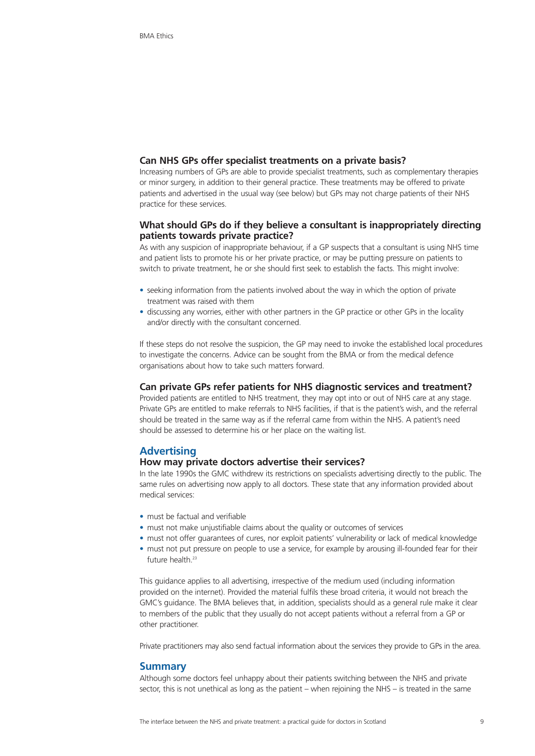## **Can NHS GPs offer specialist treatments on a private basis?**

Increasing numbers of GPs are able to provide specialist treatments, such as complementary therapies or minor surgery, in addition to their general practice. These treatments may be offered to private patients and advertised in the usual way (see below) but GPs may not charge patients of their NHS practice for these services.

# **What should GPs do if they believe a consultant is inappropriately directing patients towards private practice?**

As with any suspicion of inappropriate behaviour, if a GP suspects that a consultant is using NHS time and patient lists to promote his or her private practice, or may be putting pressure on patients to switch to private treatment, he or she should first seek to establish the facts. This might involve:

- seeking information from the patients involved about the way in which the option of private treatment was raised with them
- discussing any worries, either with other partners in the GP practice or other GPs in the locality and/or directly with the consultant concerned.

If these steps do not resolve the suspicion, the GP may need to invoke the established local procedures to investigate the concerns. Advice can be sought from the BMA or from the medical defence organisations about how to take such matters forward.

## **Can private GPs refer patients for NHS diagnostic services and treatment?**

Provided patients are entitled to NHS treatment, they may opt into or out of NHS care at any stage. Private GPs are entitled to make referrals to NHS facilities, if that is the patient's wish, and the referral should be treated in the same way as if the referral came from within the NHS. A patient's need should be assessed to determine his or her place on the waiting list.

# **Advertising**

## **How may private doctors advertise their services?**

In the late 1990s the GMC withdrew its restrictions on specialists advertising directly to the public. The same rules on advertising now apply to all doctors. These state that any information provided about medical services:

- must be factual and verifiable
- must not make unjustifiable claims about the quality or outcomes of services
- must not offer guarantees of cures, nor exploit patients' vulnerability or lack of medical knowledge
- must not put pressure on people to use a service, for example by arousing ill-founded fear for their future health.<sup>23</sup>

This guidance applies to all advertising, irrespective of the medium used (including information provided on the internet). Provided the material fulfils these broad criteria, it would not breach the GMC's guidance. The BMA believes that, in addition, specialists should as a general rule make it clear to members of the public that they usually do not accept patients without a referral from a GP or other practitioner.

Private practitioners may also send factual information about the services they provide to GPs in the area.

#### **Summary**

Although some doctors feel unhappy about their patients switching between the NHS and private sector, this is not unethical as long as the patient – when rejoining the NHS – is treated in the same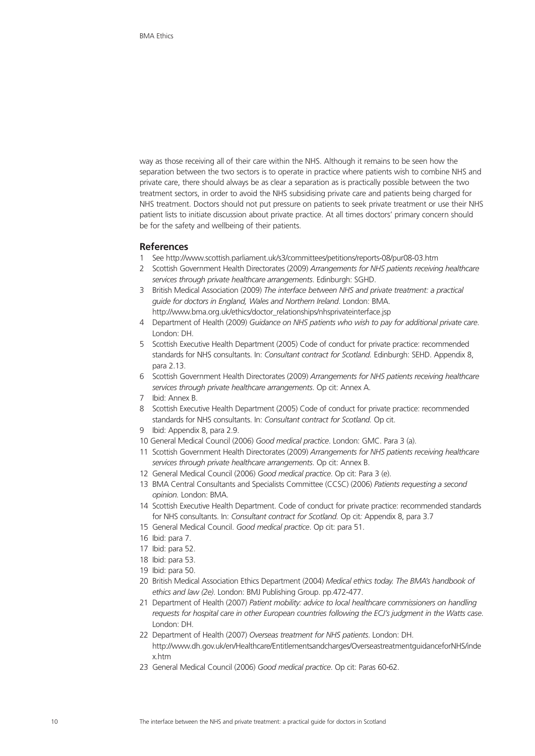way as those receiving all of their care within the NHS. Although it remains to be seen how the separation between the two sectors is to operate in practice where patients wish to combine NHS and private care, there should always be as clear a separation as is practically possible between the two treatment sectors, in order to avoid the NHS subsidising private care and patients being charged for NHS treatment. Doctors should not put pressure on patients to seek private treatment or use their NHS patient lists to initiate discussion about private practice. At all times doctors' primary concern should be for the safety and wellbeing of their patients.

## **References**

- 1 See http://www.scottish.parliament.uk/s3/committees/petitions/reports-08/pur08-03.htm
- 2 Scottish Government Health Directorates (2009) *Arrangements for NHS patients receiving healthcare services through private healthcare arrangements*. Edinburgh: SGHD.
- 3 British Medical Association (2009) *The interface between NHS and private treatment: a practical guide for doctors in England, Wales and Northern Ireland*. London: BMA. http://www.bma.org.uk/ethics/doctor\_relationships/nhsprivateinterface.jsp
- 4 Department of Health (2009) *Guidance on NHS patients who wish to pay for additional private care*. London: DH.
- 5 Scottish Executive Health Department (2005) Code of conduct for private practice: recommended standards for NHS consultants. In: *Consultant contract for Scotland.* Edinburgh: SEHD. Appendix 8, para 2.13.
- 6 Scottish Government Health Directorates (2009) *Arrangements for NHS patients receiving healthcare services through private healthcare arrangements*. Op cit: Annex A.
- 7 Ibid: Annex B.
- 8 Scottish Executive Health Department (2005) Code of conduct for private practice: recommended standards for NHS consultants. In: *Consultant contract for Scotland.* Op cit.
- 9 Ibid: Appendix 8, para 2.9.
- 10 General Medical Council (2006) *Good medical practice*. London: GMC. Para 3 (a).
- 11 Scottish Government Health Directorates (2009) *Arrangements for NHS patients receiving healthcare services through private healthcare arrangements*. Op cit: Annex B.
- 12 General Medical Council (2006) *Good medical practice*. Op cit: Para 3 (e).
- 13 BMA Central Consultants and Specialists Committee (CCSC) (2006) *Patients requesting a second opinion.* London: BMA.
- 14 Scottish Executive Health Department. Code of conduct for private practice: recommended standards for NHS consultants. In: *Consultant contract for Scotland.* Op cit*:* Appendix 8, para 3.7
- 15 General Medical Council. *Good medical practice*. Op cit: para 51.
- 16 Ibid: para 7.
- 17 Ibid: para 52.
- 18 Ibid: para 53.
- 19 Ibid: para 50.
- 20 British Medical Association Ethics Department (2004) *Medical ethics today. The BMA's handbook of ethics and law (2e)*. London: BMJ Publishing Group. pp.472-477.
- 21 Department of Health (2007) *Patient mobility: advice to local healthcare commissioners on handling requests for hospital care in other European countries following the ECJ's judgment in the Watts case*. London: DH.
- 22 Department of Health (2007) *Overseas treatment for NHS patients*. London: DH. http://www.dh.gov.uk/en/Healthcare/Entitlementsandcharges/OverseastreatmentguidanceforNHS/inde x.htm
- 23 General Medical Council (2006) *Good medical practice*. Op cit: Paras 60-62.